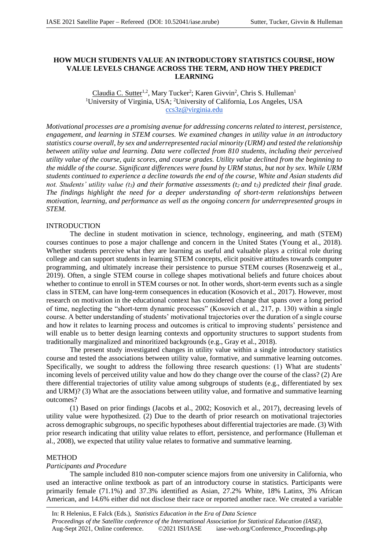# **HOW MUCH STUDENTS VALUE AN INTRODUCTORY STATISTICS COURSE, HOW VALUE LEVELS CHANGE ACROSS THE TERM, AND HOW THEY PREDICT LEARNING**

Claudia C. Sutter<sup>1,2</sup>, Mary Tucker<sup>2</sup>; Karen Givvin<sup>2</sup>, Chris S. Hulleman<sup>1</sup> <sup>1</sup>University of Virginia, USA; <sup>2</sup>University of California, Los Angeles, USA ccs3z@virginia.edu

*Motivational processes are a promising avenue for addressing concerns related to interest, persistence, engagement, and learning in STEM courses. We examined changes in utility value in an introductory statistics course overall, by sex and underrepresented racial minority (URM) and tested the relationship between utility value and learning. Data were collected from 810 students, including their perceived utility value of the course, quiz scores, and course grades. Utility value declined from the beginning to the middle of the course. Significant differences were found by URM status, but not by sex. While URM students continued to experience a decline towards the end of the course, White and Asian students did not. Students' utility value (t3) and their formative assessments (t2 and t3) predicted their final grade. The findings highlight the need for a deeper understanding of short-term relationships between motivation, learning, and performance as well as the ongoing concern for underrepresented groups in STEM.* 

# INTRODUCTION

The decline in student motivation in science, technology, engineering, and math (STEM) courses continues to pose a major challenge and concern in the United States (Young et al., 2018). Whether students perceive what they are learning as useful and valuable plays a critical role during college and can support students in learning STEM concepts, elicit positive attitudes towards computer programming, and ultimately increase their persistence to pursue STEM courses (Rosenzweig et al., 2019). Often, a single STEM course in college shapes motivational beliefs and future choices about whether to continue to enroll in STEM courses or not. In other words, short-term events such as a single class in STEM, can have long-term consequences in education (Kosovich et al., 2017). However, most research on motivation in the educational context has considered change that spans over a long period of time, neglecting the "short-term dynamic processes" (Kosovich et al., 217, p. 130) within a single course. A better understanding of students' motivational trajectories over the duration of a single course and how it relates to learning process and outcomes is critical to improving students' persistence and will enable us to better design learning contexts and opportunity structures to support students from traditionally marginalized and minoritized backgrounds (e.g., Gray et al., 2018).

The present study investigated changes in utility value within a single introductory statistics course and tested the associations between utility value, formative, and summative learning outcomes. Specifically, we sought to address the following three research questions: (1) What are students' incoming levels of perceived utility value and how do they change over the course of the class? (2) Are there differential trajectories of utility value among subgroups of students (e.g., differentiated by sex and URM)? (3) What are the associations between utility value, and formative and summative learning outcomes?

(1) Based on prior findings (Jacobs et al., 2002; Kosovich et al., 2017), decreasing levels of utility value were hypothesized. (2) Due to the dearth of prior research on motivational trajectories across demographic subgroups, no specific hypotheses about differential trajectories are made. (3) With prior research indicating that utility value relates to effort, persistence, and performance (Hulleman et al., 2008), we expected that utility value relates to formative and summative learning.

## **METHOD**

## *Participants and Procedure*

The sample included 810 non-computer science majors from one university in California, who used an interactive online textbook as part of an introductory course in statistics. Participants were primarily female (71.1%) and 37.3% identified as Asian, 27.2% White, 18% Latinx, 3% African American, and 14.6% either did not disclose their race or reported another race. We created a variable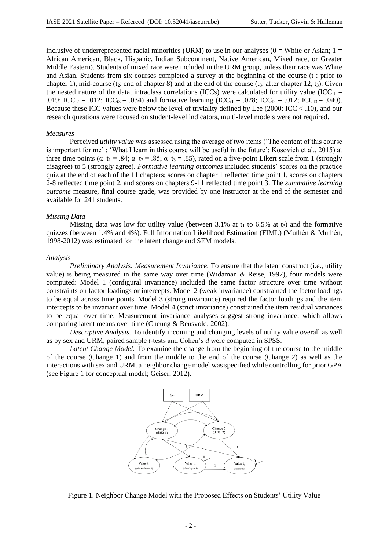inclusive of underrepresented racial minorities (URM) to use in our analyses  $(0 = White)$  or Asian;  $1 =$ African American, Black, Hispanic, Indian Subcontinent, Native American, Mixed race, or Greater Middle Eastern). Students of mixed race were included in the URM group, unless their race was White and Asian. Students from six courses completed a survey at the beginning of the course  $(t_1)$ : prior to chapter 1), mid-course (t<sub>2</sub>: end of chapter 8) and at the end of the course (t<sub>3</sub>: after chapter 12, t<sub>3</sub>). Given the nested nature of the data, intraclass correlations (ICCs) were calculated for utility value (ICC $_{t1}$  = .019; ICC<sub>t2</sub> = .012; ICC<sub>t3</sub> = .034) and formative learning (ICC<sub>t1</sub> = .028; ICC<sub>t2</sub> = .012; ICC<sub>t3</sub> = .040). Because these ICC values were below the level of triviality defined by Lee (2000; ICC < .10), and our research questions were focused on student-level indicators, multi-level models were not required.

### *Measures*

Perceived *utility value* was assessed using the average of two items ('The content of this course is important for me' ; 'What I learn in this course will be useful in the future'; Kosovich et al., 2015) at three time points ( $\alpha$  t<sub>1</sub> = .84;  $\alpha$  t<sub>2</sub> = .85;  $\alpha$  t<sub>3</sub> = .85), rated on a five-point Likert scale from 1 (strongly disagree) to 5 (strongly agree). *Formative learning outcomes* included students' scores on the practice quiz at the end of each of the 11 chapters; scores on chapter 1 reflected time point 1, scores on chapters 2-8 reflected time point 2, and scores on chapters 9-11 reflected time point 3. The *summative learning outcome* measure, final course grade, was provided by one instructor at the end of the semester and available for 241 students.

## *Missing Data*

Missing data was low for utility value (between 3.1% at  $t_1$  to 6.5% at  $t_3$ ) and the formative quizzes (between 1.4% and 4%). Full Information Likelihood Estimation (FIML) (Muthén & Muthén, 1998-2012) was estimated for the latent change and SEM models.

#### *Analysis*

*Preliminary Analysis: Measurement Invariance.* To ensure that the latent construct (i.e., utility value) is being measured in the same way over time (Widaman & Reise, 1997), four models were computed: Model 1 (configural invariance) included the same factor structure over time without constraints on factor loadings or intercepts. Model 2 (weak invariance) constrained the factor loadings to be equal across time points. Model 3 (strong invariance) required the factor loadings and the item intercepts to be invariant over time. Model 4 (strict invariance) constrained the item residual variances to be equal over time. Measurement invariance analyses suggest strong invariance, which allows comparing latent means over time (Cheung & Rensvold, 2002).

*Descriptive Analysis.* To identify incoming and changing levels of utility value overall as well as by sex and URM, paired sample *t*-tests and Cohen's *d* were computed in SPSS.

*Latent Change Model.* To examine the change from the beginning of the course to the middle of the course (Change 1) and from the middle to the end of the course (Change 2) as well as the interactions with sex and URM, a neighbor change model was specified while controlling for prior GPA (see Figure 1 for conceptual model; Geiser, 2012).



Figure 1. Neighbor Change Model with the Proposed Effects on Students' Utility Value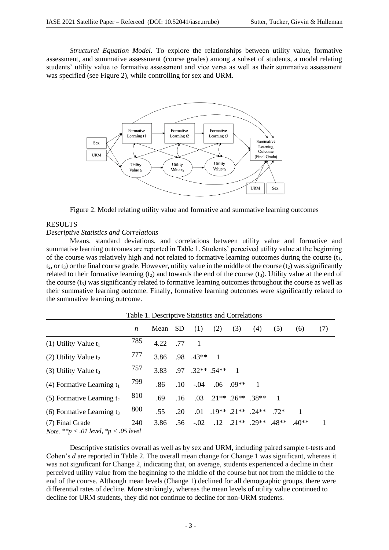*Structural Equation Model.* To explore the relationships between utility value, formative assessment, and summative assessment (course grades) among a subset of students, a model relating students' utility value to formative assessment and vice versa as well as their summative assessment was specified (see Figure 2), while controlling for sex and URM.



Figure 2. Model relating utility value and formative and summative learning outcomes

## RESULTS

## *Descriptive Statistics and Correlations*

Means, standard deviations, and correlations between utility value and formative and summative learning outcomes are reported in Table 1. Students' perceived utility value at the beginning of the course was relatively high and not related to formative learning outcomes during the course  $(t_1, t_2)$  $t_2$ , or  $t_3$ ) or the final course grade. However, utility value in the middle of the course  $(t_2)$  was significantly related to their formative learning  $(t_2)$  and towards the end of the course  $(t_3)$ . Utility value at the end of the course  $(t_3)$  was significantly related to formative learning outcomes throughout the course as well as their summative learning outcome. Finally, formative learning outcomes were significantly related to the summative learning outcome.

Table 1. Descriptive Statistics and Correlations

| Table 1. Descriptive Statistics and Correlations |     |      |                  |               |                |                                          |                |         |        |     |
|--------------------------------------------------|-----|------|------------------|---------------|----------------|------------------------------------------|----------------|---------|--------|-----|
|                                                  | n   | Mean | - SD             | (1)           | (2)            | (3)                                      | (4)            | (5)     | (6)    | (7) |
| (1) Utility Value $t_1$                          | 785 | 4.22 | .77              |               |                |                                          |                |         |        |     |
| (2) Utility Value $t_2$                          | 777 | 3.86 | .98              | $43**$        | $\overline{1}$ |                                          |                |         |        |     |
| (3) Utility Value $t_3$                          | 757 | 3.83 | .97              | $.32**$ .54** |                |                                          |                |         |        |     |
| (4) Formative Learning $t_1$                     | 799 | .86  | .10 <sup>°</sup> | $-.04$        |                | $.06$ $.09**$                            | $\blacksquare$ |         |        |     |
| $(5)$ Formative Learning $t_2$                   | 810 | .69  | .16              | .03           |                | $21**$ 26 <sup>**</sup> 38 <sup>**</sup> |                |         |        |     |
| (6) Formative Learning $t_3$                     | 800 | .55  | .20              | .01           |                | $19**$ 21** 24**                         |                | $72*$   |        |     |
| (7) Final Grade                                  | 240 | 3.86 | .56              | $-.02$        | .12            | $.21***$ .29**                           |                | $.48**$ | $40**$ |     |

*Note. \*\*p < .01 level, \*p < .05 level*

Descriptive statistics overall as well as by sex and URM, including paired sample t-tests and Cohen's *d* are reported in Table 2. The overall mean change for Change 1 was significant, whereas it was not significant for Change 2, indicating that, on average, students experienced a decline in their perceived utility value from the beginning to the middle of the course but not from the middle to the end of the course. Although mean levels (Change 1) declined for all demographic groups, there were differential rates of decline. More strikingly, whereas the mean levels of utility value continued to decline for URM students, they did not continue to decline for non-URM students.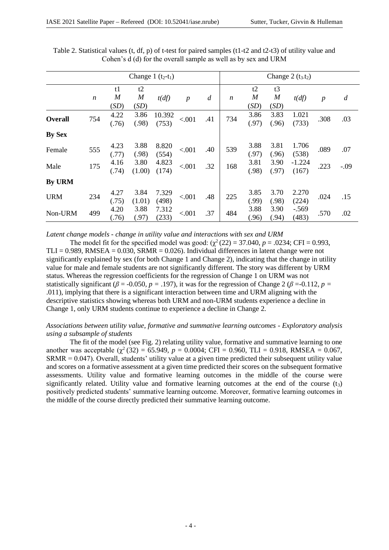|               | Change 1 $(t_2-t_1)$ |                                |                                |                 |                  | Change $2(t_3,t_2)$ |                  |                                |                                |                   |                  |                  |
|---------------|----------------------|--------------------------------|--------------------------------|-----------------|------------------|---------------------|------------------|--------------------------------|--------------------------------|-------------------|------------------|------------------|
|               | $\boldsymbol{n}$     | t1<br>$\boldsymbol{M}$<br>(SD) | t2<br>$\boldsymbol{M}$<br>(SD) | t(df)           | $\boldsymbol{p}$ | $\boldsymbol{d}$    | $\boldsymbol{n}$ | t2<br>$\boldsymbol{M}$<br>(SD) | t3<br>$\boldsymbol{M}$<br>(SD) | t(df)             | $\boldsymbol{p}$ | $\boldsymbol{d}$ |
| Overall       | 754                  | 4.22<br>(.76)                  | 3.86<br>(.98)                  | 10.392<br>(753) | < .001           | .41                 | 734              | 3.86<br>(.97)                  | 3.83<br>(.96)                  | 1.021<br>(733)    | .308             | .03              |
| <b>By Sex</b> |                      |                                |                                |                 |                  |                     |                  |                                |                                |                   |                  |                  |
| Female        | 555                  | 4.23<br>(.77)                  | 3.88<br>(.98)                  | 8.820<br>(554)  | < .001           | .40                 | 539              | 3.88<br>(.97)                  | 3.81<br>(.96)                  | 1.706<br>(538)    | .089             | .07              |
| Male          | 175                  | 4.16<br>(.74)                  | 3.80<br>(1.00)                 | 4.823<br>(174)  | < .001           | .32                 | 168              | 3.81<br>(.98)                  | 3.90<br>(.97)                  | $-1.224$<br>(167) | .223             | $-.09$           |
| <b>By URM</b> |                      |                                |                                |                 |                  |                     |                  |                                |                                |                   |                  |                  |
| <b>URM</b>    | 234                  | 4.27<br>(.75)                  | 3.84<br>(1.01)                 | 7.329<br>(498)  | < .001           | .48                 | 225              | 3.85<br>(.99)                  | 3.70<br>(.98)                  | 2.270<br>(224)    | .024             | .15              |
| Non-URM       | 499                  | 4.20<br>(.76)                  | 3.88<br>(.97)                  | 7.312<br>(233)  | < .001           | .37                 | 484              | 3.88<br>(.96)                  | 3.90<br>(.94)                  | $-.569$<br>(483)  | .570             | .02              |

Table 2. Statistical values (t, df, p) of t-test for paired samples (t1-t2 and t2-t3) of utility value and Cohen's d (d) for the overall sample as well as by sex and URM

*Latent change models - change in utility value and interactions with sex and URM*

The model fit for the specified model was good:  $(\gamma^2(22) = 37.040, p = .0234; CFI = 0.993,$ TLI =  $0.989$ , RMSEA =  $0.030$ , SRMR =  $0.026$ ). Individual differences in latent change were not significantly explained by sex (for both Change 1 and Change 2), indicating that the change in utility value for male and female students are not significantly different. The story was different by URM status. Whereas the regression coefficients for the regression of Change 1 on URM was not statistically significant ( $\beta$  = -0.050*, p* = .197), it was for the regression of Change 2 ( $\beta$  = -0.112*, p* = .011), implying that there is a significant interaction between time and URM aligning with the descriptive statistics showing whereas both URM and non-URM students experience a decline in Change 1, only URM students continue to experience a decline in Change 2.

*Associations between utility value, formative and summative learning outcomes - Exploratory analysis using a subsample of students*

The fit of the model (see Fig. 2) relating utility value, formative and summative learning to one another was acceptable  $(\chi^2(32) = 65.949, p = 0.0004; CFI = 0.960, TLI = 0.918, RMSEA = 0.067,$ SRMR = 0.047). Overall, students' utility value at a given time predicted their subsequent utility value and scores on a formative assessment at a given time predicted their scores on the subsequent formative assessments. Utility value and formative learning outcomes in the middle of the course were significantly related. Utility value and formative learning outcomes at the end of the course  $(t<sub>3</sub>)$ positively predicted students' summative learning outcome. Moreover, formative learning outcomes in the middle of the course directly predicted their summative learning outcome.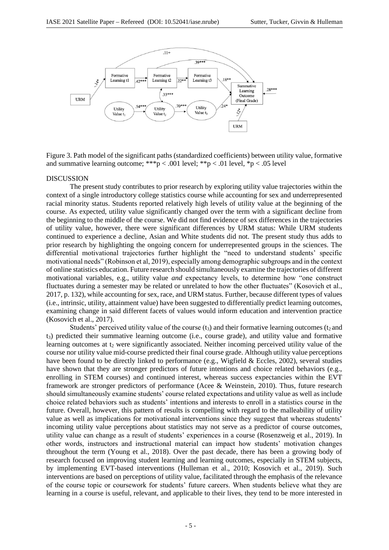

Figure 3. Path model of the significant paths (standardized coefficients) between utility value, formative and summative learning outcome; \*\*\*p < .001 level; \*\*p < .01 level, \*p < .05 level

#### DISCUSSION

The present study contributes to prior research by exploring utility value trajectories within the context of a single introductory college statistics course while accounting for sex and underrepresented racial minority status. Students reported relatively high levels of utility value at the beginning of the course. As expected, utility value significantly changed over the term with a significant decline from the beginning to the middle of the course. We did not find evidence of sex differences in the trajectories of utility value, however, there were significant differences by URM status: While URM students continued to experience a decline, Asian and White students did not. The present study thus adds to prior research by highlighting the ongoing concern for underrepresented groups in the sciences. The differential motivational trajectories further highlight the "need to understand students' specific motivational needs" (Robinson et al, 2019), especially among demographic subgroups and in the context of online statistics education. Future research should simultaneously examine the trajectories of different motivational variables, e.g., utility value *and* expectancy levels, to determine how "one construct fluctuates during a semester may be related or unrelated to how the other fluctuates" (Kosovich et al., 2017, p. 132), while accounting for sex, race, and URM status. Further, because different types of values (i.e., intrinsic, utility, attainment value) have been suggested to differentially predict learning outcomes, examining change in said different facets of values would inform education and intervention practice (Kosovich et al., 2017).

Students' perceived utility value of the course  $(t<sub>3</sub>)$  and their formative learning outcomes  $(t<sub>2</sub>$  and t3) predicted their summative learning outcome (i.e., course grade), and utility value and formative learning outcomes at  $t_2$  were significantly associated. Neither incoming perceived utility value of the course nor utility value mid-course predicted their final course grade. Although utility value perceptions have been found to be directly linked to performance (e.g., Wigfield & Eccles, 2002), several studies have shown that they are stronger predictors of future intentions and choice related behaviors (e.g., enrolling in STEM courses) and continued interest, whereas success expectancies within the EVT framework are stronger predictors of performance (Acee & Weinstein, 2010). Thus, future research should simultaneously examine students' course related expectations and utility value as well as include choice related behaviors such as students' intentions and interests to enroll in a statistics course in the future. Overall, however, this pattern of results is compelling with regard to the malleability of utility value as well as implications for motivational interventions since they suggest that whereas students' incoming utility value perceptions about statistics may not serve as a predictor of course outcomes, utility value can change as a result of students' experiences in a course (Rosenzweig et al., 2019). In other words, instructors and instructional material can impact how students' motivation changes throughout the term (Young et al., 2018). Over the past decade, there has been a growing body of research focused on improving student learning and learning outcomes, especially in STEM subjects, by implementing EVT-based interventions (Hulleman et al., 2010; Kosovich et al., 2019). Such interventions are based on perceptions of utility value, facilitated through the emphasis of the relevance of the course topic or coursework for students' future careers. When students believe what they are learning in a course is useful, relevant, and applicable to their lives, they tend to be more interested in